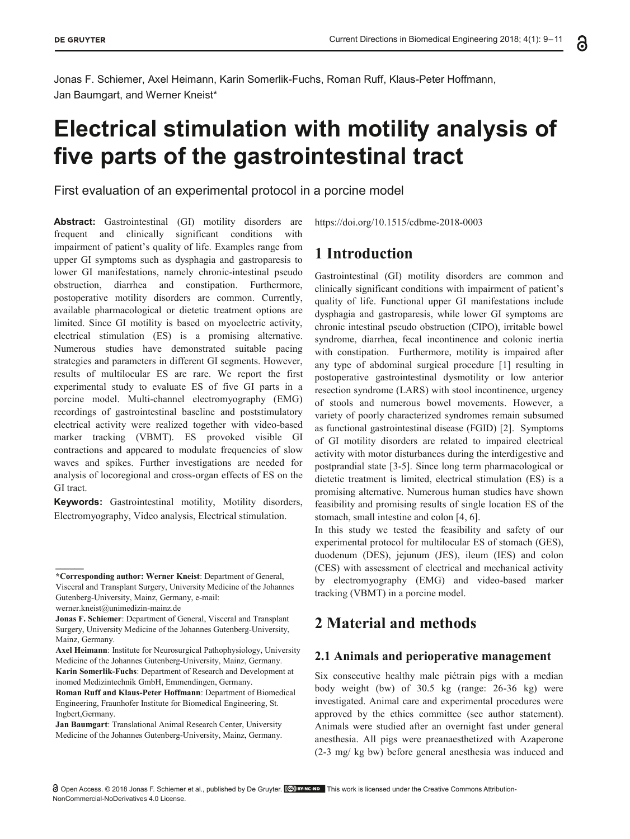Jonas F. Schiemer, Axel Heimann, Karin Somerlik-Fuchs, Roman Ruff, Klaus-Peter Hoffmann, Jan Baumgart, and Werner Kneist\*

# **Electrical stimulation with motility analysis of five parts of the gastrointestinal tract**

First evaluation of an experimental protocol in a porcine model

Abstract: Gastrointestinal (GI) motility disorders are frequent and clinically significant conditions impairment of patient's quality of life. Examples range from upper GI symptoms such as dysphagia and gastroparesis to lower GI manifestations, namely chronic-intestinal pseudo obstruction, diarrhea and constipation. Furthermore, postoperative motility disorders are common. Currently, available pharmacological or dietetic treatment options are limited. Since GI motility is based on myoelectric activity, electrical stimulation (ES) is a promising alternative. Numerous studies have demonstrated suitable pacing strategies and parameters in different GI segments. However, results of multilocular ES are rare. We report the first experimental study to evaluate ES of five GI parts in a porcine model. Multi-channel electromyography (EMG) recordings of gastrointestinal baseline and poststimulatory electrical activity were realized together with video-based marker tracking (VBMT). ES provoked visible GI contractions and appeared to modulate frequencies of slow waves and spikes. Further investigations are needed for analysis of locoregional and cross-organ effects of ES on the GI tract.

**Keywords:** Gastrointestinal motility, Motility disorders, Electromyography, Video analysis, Electrical stimulation.

**\_\_\_\_\_\_**

https://doi.org/10.1515/cdbme-2018-0003

# **1 Introduction**

Gastrointestinal (GI) motility disorders are common and clinically significant conditions with impairment of patient's quality of life. Functional upper GI manifestations include dysphagia and gastroparesis, while lower GI symptoms are chronic intestinal pseudo obstruction (CIPO), irritable bowel syndrome, diarrhea, fecal incontinence and colonic inertia with constipation. Furthermore, motility is impaired after any type of abdominal surgical procedure [1] resulting in postoperative gastrointestinal dysmotility or low anterior resection syndrome (LARS) with stool incontinence, urgency of stools and numerous bowel movements. However, a variety of poorly characterized syndromes remain subsumed as functional gastrointestinal disease (FGID) [2]. Symptoms of GI motility disorders are related to impaired electrical activity with motor disturbances during the interdigestive and postprandial state [3-5]. Since long term pharmacological or dietetic treatment is limited, electrical stimulation (ES) is a promising alternative. Numerous human studies have shown feasibility and promising results of single location ES of the stomach, small intestine and colon [4, 6].

In this study we tested the feasibility and safety of our experimental protocol for multilocular ES of stomach (GES), duodenum (DES), jejunum (JES), ileum (IES) and colon (CES) with assessment of electrical and mechanical activity by electromyography (EMG) and video-based marker tracking (VBMT) in a porcine model.

## **2 Material and methods**

#### **2.1 Animals and perioperative management**

Six consecutive healthy male piétrain pigs with a median body weight (bw) of 30.5 kg (range: 26-36 kg) were investigated. Animal care and experimental procedures were approved by the ethics committee (see author statement). Animals were studied after an overnight fast under general anesthesia. All pigs were preanaesthetized with Azaperone (2-3 mg/ kg bw) before general anesthesia was induced and

**<sup>\*</sup>Corresponding author: Werner Kneist**: Department of General, Visceral and Transplant Surgery, University Medicine of the Johannes Gutenberg-University, Mainz, Germany, e-mail: werner.kneist@unimedizin-mainz.de

**Jonas F. Schiemer**: Department of General, Visceral and Transplant Surgery, University Medicine of the Johannes Gutenberg-University, Mainz, Germany.

**Axel Heimann**: Institute for Neurosurgical Pathophysiology, University Medicine of the Johannes Gutenberg-University, Mainz, Germany. **Karin Somerlik-Fuchs**: Department of Research and Development at inomed Medizintechnik GmbH, Emmendingen, Germany.

**Roman Ruff and Klaus-Peter Hoffmann**: Department of Biomedical Engineering, Fraunhofer Institute for Biomedical Engineering, St. Ingbert,Germany.

**Jan Baumgart**: Translational Animal Research Center, University Medicine of the Johannes Gutenberg-University, Mainz, Germany.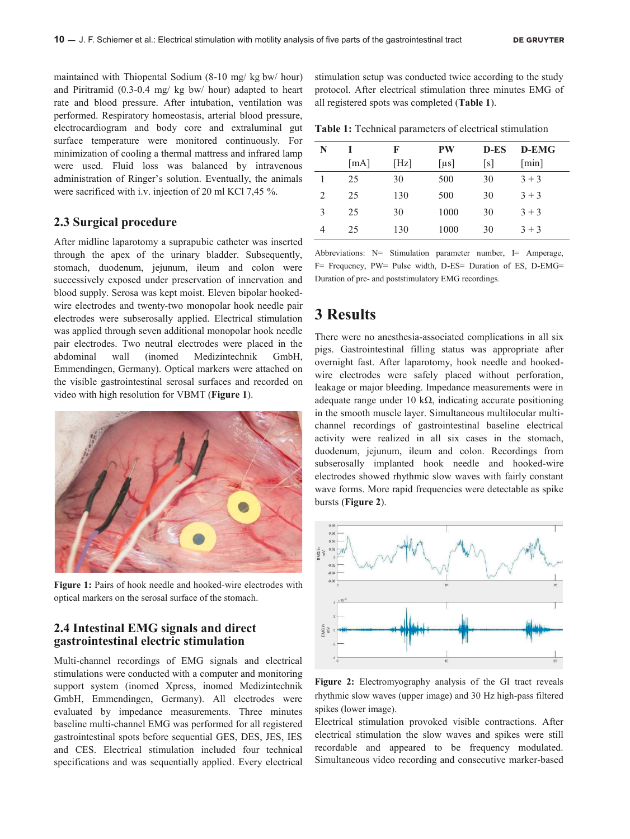maintained with Thiopental Sodium (8-10 mg/ kg bw/ hour) and Piritramid (0.3-0.4 mg/ kg bw/ hour) adapted to heart rate and blood pressure. After intubation, ventilation was performed. Respiratory homeostasis, arterial blood pressure, electrocardiogram and body core and extraluminal gut surface temperature were monitored continuously. For minimization of cooling a thermal mattress and infrared lamp were used. Fluid loss was balanced by intravenous administration of Ringer's solution. Eventually, the animals were sacrificed with i.v. injection of 20 ml KCl 7,45 %.

#### **2.3 Surgical procedure**

After midline laparotomy a suprapubic catheter was inserted through the apex of the urinary bladder. Subsequently, stomach, duodenum, jejunum, ileum and colon were successively exposed under preservation of innervation and blood supply. Serosa was kept moist. Eleven bipolar hookedwire electrodes and twenty-two monopolar hook needle pair electrodes were subserosally applied. Electrical stimulation was applied through seven additional monopolar hook needle pair electrodes. Two neutral electrodes were placed in the abdominal wall (inomed Medizintechnik GmbH, Emmendingen, Germany). Optical markers were attached on the visible gastrointestinal serosal surfaces and recorded on video with high resolution for VBMT (**Figure 1**).



**Figure 1:** Pairs of hook needle and hooked-wire electrodes with optical markers on the serosal surface of the stomach.

#### **2.4 Intestinal EMG signals and direct gastrointestinal electric stimulation**

Multi-channel recordings of EMG signals and electrical stimulations were conducted with a computer and monitoring support system (inomed Xpress, inomed Medizintechnik GmbH, Emmendingen, Germany). All electrodes were evaluated by impedance measurements. Three minutes baseline multi-channel EMG was performed for all registered gastrointestinal spots before sequential GES, DES, JES, IES and CES. Electrical stimulation included four technical specifications and was sequentially applied. Every electrical

stimulation setup was conducted twice according to the study protocol. After electrical stimulation three minutes EMG of all registered spots was completed (**Table 1**).

| <b>Table 1:</b> Technical parameters of electrical stimulation |  |
|----------------------------------------------------------------|--|
|----------------------------------------------------------------|--|

| N              |              | F    | PW        | D-ES | D-EMG   |
|----------------|--------------|------|-----------|------|---------|
|                | $\lceil$ mA] | [Hz] | $[\mu s]$ | ls   | [min]   |
|                | 25           | 30   | 500       | 30   | $3 + 3$ |
| $\overline{2}$ | 25           | 130  | 500       | 30   | $3 + 3$ |
| 3              | 25           | 30   | 1000      | 30   | $3 + 3$ |
| 4              | 25           | 130  | 1000      | 30   | $3 + 3$ |

Abbreviations: N= Stimulation parameter number, I= Amperage, F= Frequency, PW= Pulse width, D-ES= Duration of ES, D-EMG= Duration of pre- and poststimulatory EMG recordings.

### **3 Results**

There were no anesthesia-associated complications in all six pigs. Gastrointestinal filling status was appropriate after overnight fast. After laparotomy, hook needle and hookedwire electrodes were safely placed without perforation, leakage or major bleeding. Impedance measurements were in adequate range under 10 k $\Omega$ , indicating accurate positioning in the smooth muscle layer. Simultaneous multilocular multichannel recordings of gastrointestinal baseline electrical activity were realized in all six cases in the stomach, duodenum, jejunum, ileum and colon. Recordings from subserosally implanted hook needle and hooked-wire electrodes showed rhythmic slow waves with fairly constant wave forms. More rapid frequencies were detectable as spike bursts (**Figure 2**).



**Figure 2:** Electromyography analysis of the GI tract reveals rhythmic slow waves (upper image) and 30 Hz high-pass filtered spikes (lower image).

Electrical stimulation provoked visible contractions. After electrical stimulation the slow waves and spikes were still recordable and appeared to be frequency modulated. Simultaneous video recording and consecutive marker-based